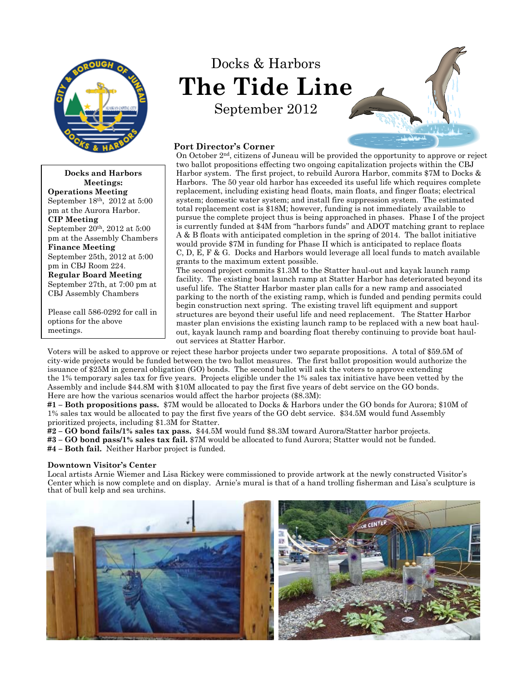

**Docks and Harbors Meetings: Operations Meeting** September 18th, 2012 at 5:00 pm at the Aurora Harbor. **CIP Meeting** September 20th, 2012 at 5:00 pm at the Assembly Chambers **Finance Meeting** September 25th, 2012 at 5:00 pm in CBJ Room 224. **Regular Board Meeting** September 27th, at 7:00 pm at CBJ Assembly Chambers

Please call 586-0292 for call in options for the above meetings.

# Docks & Harbors **The Tide Line** September 2012



## **Port Director's Corner**

On October 2nd, citizens of Juneau will be provided the opportunity to approve or reject two ballot propositions effecting two ongoing capitalization projects within the CBJ Harbor system. The first project, to rebuild Aurora Harbor, commits \$7M to Docks & Harbors. The 50 year old harbor has exceeded its useful life which requires complete replacement, including existing head floats, main floats, and finger floats; electrical system; domestic water system; and install fire suppression system. The estimated total replacement cost is \$18M; however, funding is not immediately available to pursue the complete project thus is being approached in phases. Phase I of the project is currently funded at \$4M from "harbors funds" and ADOT matching grant to replace A & B floats with anticipated completion in the spring of 2014. The ballot initiative would provide \$7M in funding for Phase II which is anticipated to replace floats C, D, E, F & G. Docks and Harbors would leverage all local funds to match available grants to the maximum extent possible.

The second project commits \$1.3M to the Statter haul-out and kayak launch ramp facility. The existing boat launch ramp at Statter Harbor has deteriorated beyond its useful life. The Statter Harbor master plan calls for a new ramp and associated parking to the north of the existing ramp, which is funded and pending permits could begin construction next spring. The existing travel lift equipment and support structures are beyond their useful life and need replacement. The Statter Harbor master plan envisions the existing launch ramp to be replaced with a new boat haulout, kayak launch ramp and boarding float thereby continuing to provide boat haulout services at Statter Harbor.

Voters will be asked to approve or reject these harbor projects under two separate propositions. A total of \$59.5M of city-wide projects would be funded between the two ballot measures. The first ballot proposition would authorize the issuance of \$25M in general obligation (GO) bonds. The second ballot will ask the voters to approve extending the 1% temporary sales tax for five years. Projects eligible under the 1% sales tax initiative have been vetted by the Assembly and include \$44.8M with \$10M allocated to pay the first five years of debt service on the GO bonds. Here are how the various scenarios would affect the harbor projects (\$8.3M):

**#1 – Both propositions pass.** \$7M would be allocated to Docks & Harbors under the GO bonds for Aurora; \$10M of 1% sales tax would be allocated to pay the first five years of the GO debt service. \$34.5M would fund Assembly prioritized projects, including \$1.3M for Statter.

**#2 – GO bond fails/1% sales tax pass.** \$44.5M would fund \$8.3M toward Aurora/Statter harbor projects. **#3 – GO bond pass/1% sales tax fail.** \$7M would be allocated to fund Aurora; Statter would not be funded. **#4 – Both fail.** Neither Harbor project is funded.

#### **Downtown Visitor's Center**

Local artists Arnie Wiemer and Lisa Rickey were commissioned to provide artwork at the newly constructed Visitor's Center which is now complete and on display. Arnie's mural is that of a hand trolling fisherman and Lisa's sculpture is that of bull kelp and sea urchins.